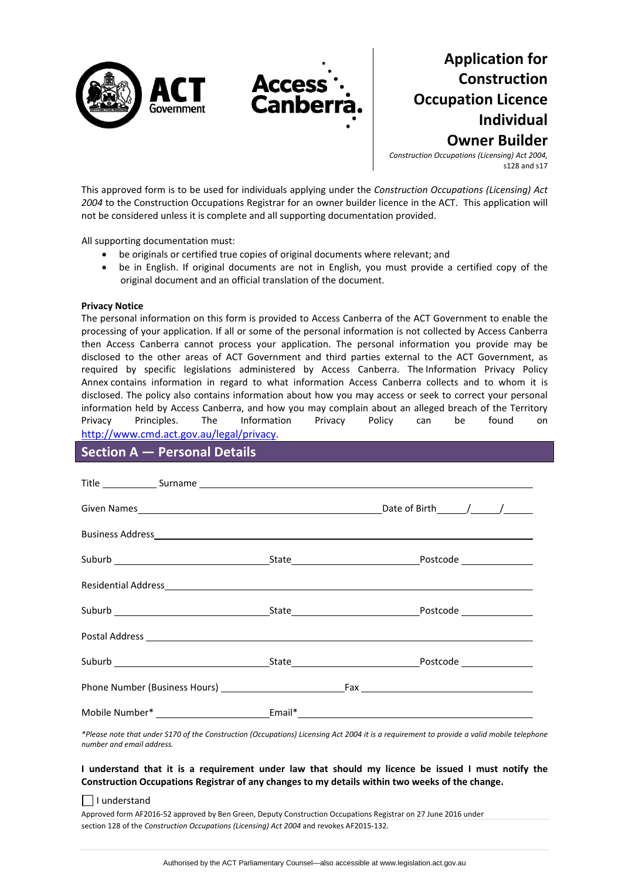

**Application for Construction Occupation Licence Individual Owner Builder**

*Construction Occupations (Licensing) Act 2004,* s128 and s17

This approved form is to be used for individuals applying under the *Construction Occupations (Licensing) Act 2004* to the Construction Occupations Registrar for an owner builder licence in the ACT. This application will not be considered unless it is complete and all supporting documentation provided.

All supporting documentation must:

- be originals or certified true copies of original documents where relevant; and
- be in English. If original documents are not in English, you must provide a certified copy of the original document and an official translation of the document.

#### **Privacy Notice**

The personal information on this form is provided to Access Canberra of the ACT Government to enable the processing of your application. If all or some of the personal information is not collected by Access Canberra then Access Canberra cannot process your application. The personal information you provide may be disclosed to the other areas of ACT Government and third parties external to the ACT Government, as required by specific legislations administered by Access Canberra. The [Information](http://www.environment.act.gov.au/__data/assets/pdf_file/0006/633741/Information-Privacy-Policy-Annex.pdf) Privacy Policy [Annex](http://www.environment.act.gov.au/__data/assets/pdf_file/0006/633741/Information-Privacy-Policy-Annex.pdf) contains information in regard to what information Access Canberra collects and to whom it is disclosed. The policy also contains information about how you may access or seek to correct your personal information held by Access Canberra, and how you may complain about an alleged breach of the Territory Privacy Principles. The Information Privacy Policy can be found on <http://www.cmd.act.gov.au/legal/privacy>.

### **Section A — Personal Details**

| Title Surname Surname Surname Surname Surname Surname Surname Surname Surname Surname Surname Surname Surname Surname Surname Surname Surname Surname Surname Surname Surname Surname Surname Surname Surname Surname Surname |                                                                                                                                                                                                                               |
|-------------------------------------------------------------------------------------------------------------------------------------------------------------------------------------------------------------------------------|-------------------------------------------------------------------------------------------------------------------------------------------------------------------------------------------------------------------------------|
|                                                                                                                                                                                                                               |                                                                                                                                                                                                                               |
|                                                                                                                                                                                                                               |                                                                                                                                                                                                                               |
|                                                                                                                                                                                                                               |                                                                                                                                                                                                                               |
|                                                                                                                                                                                                                               | Residential Address experience and the set of the set of the set of the set of the set of the set of the set of the set of the set of the set of the set of the set of the set of the set of the set of the set of the set of |
|                                                                                                                                                                                                                               |                                                                                                                                                                                                                               |
|                                                                                                                                                                                                                               |                                                                                                                                                                                                                               |
|                                                                                                                                                                                                                               |                                                                                                                                                                                                                               |
|                                                                                                                                                                                                                               |                                                                                                                                                                                                                               |
|                                                                                                                                                                                                                               |                                                                                                                                                                                                                               |

\*Please note that under S170 of the Construction (Occupations) Licensing Act 2004 it is a requirement to provide a valid mobile telephone *number and email address.* 

#### I understand that it is a requirement under law that should my licence be issued I must notify the **Construction Occupations Registrar of any changes to my details within two weeks of the change.**

#### $\Box$  I understand

Approved form AF2016‐52 approved by Ben Green, Deputy Construction Occupations Registrar on 27 June 2016 under section 128 of the *Construction Occupations (Licensing) Act 2004* and revokes AF2015‐132.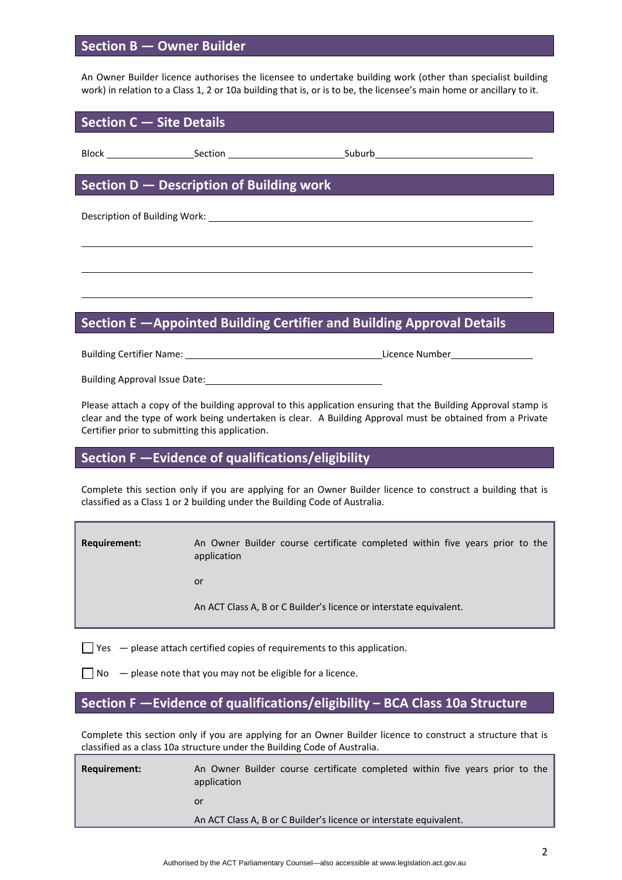## **Section B — Owner Builder**

An Owner Builder licence authorises the licensee to undertake building work (other than specialist building work) in relation to a Class 1, 2 or 10a building that is, or is to be, the licensee's main home or ancillary to it.

### **Section C — Site Details**

Block Section Section Suburb

## **Section D — Description of Building work**

Description of Building Work: University of Australian Control of Building Work:

# **Section E —Appointed Building Certifier and Building Approval Details**

<u> 1989 - Johann Barbara, martxa alemaniar argametra (h. 1989).</u>

<u> 1989 - Johann Barbara, martxa alemaniar argametar argametar argametar argametar argametar argametar argametar</u>

Building Certifier Name: Licence Number

Building Approval Issue Date:

Please attach a copy of the building approval to this application ensuring that the Building Approval stamp is clear and the type of work being undertaken is clear. A Building Approval must be obtained from a Private Certifier prior to submitting this application.

### **Section F —Evidence of qualifications/eligibility**

Complete this section only if you are applying for an Owner Builder licence to construct a building that is classified as a Class 1 or 2 building under the Building Code of Australia.

**Requirement:** An Owner Builder course certificate completed within five years prior to the application

or and the state of the state of the state of the state of the state of the state of the state of the state of

An ACT Class A, B or C Builder's licence or interstate equivalent.

 $\Box$  Yes  $-$  please attach certified copies of requirements to this application.

 $\Box$  No  $\Box$  please note that you may not be eligible for a licence.

# **Section F —Evidence of qualifications/eligibility – BCA Class 10a Structure**

Complete this section only if you are applying for an Owner Builder licence to construct a structure that is classified as a class 10a structure under the Building Code of Australia.

| Requirement: | An Owner Builder course certificate completed within five years prior to the<br>application |  |  |  |  |  |  |  |  |
|--------------|---------------------------------------------------------------------------------------------|--|--|--|--|--|--|--|--|
|              | or                                                                                          |  |  |  |  |  |  |  |  |
|              | An ACT Class A, B or C Builder's licence or interstate equivalent.                          |  |  |  |  |  |  |  |  |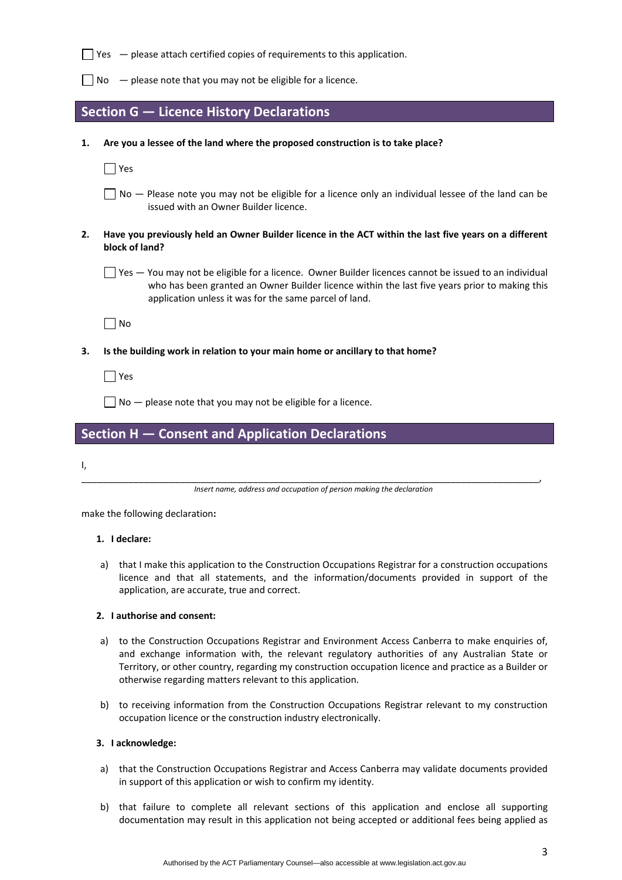|    | Yes - please attach certified copies of requirements to this application.                                                                                                                                                                                        |
|----|------------------------------------------------------------------------------------------------------------------------------------------------------------------------------------------------------------------------------------------------------------------|
|    | - please note that you may not be eligible for a licence.<br>No.                                                                                                                                                                                                 |
|    | Section G - Licence History Declarations                                                                                                                                                                                                                         |
| 1. | Are you a lessee of the land where the proposed construction is to take place?                                                                                                                                                                                   |
|    | Yes                                                                                                                                                                                                                                                              |
|    | No - Please note you may not be eligible for a licence only an individual lessee of the land can be<br>issued with an Owner Builder licence.                                                                                                                     |
| 2. | Have you previously held an Owner Builder licence in the ACT within the last five years on a different<br>block of land?                                                                                                                                         |
|    | Yes - You may not be eligible for a licence. Owner Builder licences cannot be issued to an individual<br>who has been granted an Owner Builder licence within the last five years prior to making this<br>application unless it was for the same parcel of land. |
|    | No                                                                                                                                                                                                                                                               |
| 3. | Is the building work in relation to your main home or ancillary to that home?                                                                                                                                                                                    |
|    | Yes                                                                                                                                                                                                                                                              |
|    | $No$ - please note that you may not be eligible for a licence.                                                                                                                                                                                                   |
|    |                                                                                                                                                                                                                                                                  |

## **Section H — Consent and Application Declarations**

I,

\_\_\_\_\_\_\_\_\_\_\_\_\_\_\_\_\_\_\_\_\_\_\_\_\_\_\_\_\_\_\_\_\_\_\_\_\_\_\_\_\_\_\_\_\_\_\_\_\_\_\_\_\_\_\_\_\_\_\_\_\_\_\_\_\_\_\_\_\_\_\_\_\_\_\_\_\_\_\_\_\_\_\_\_\_\_\_\_, *Insert name, address and occupation of person making the declaration*

make the following declaration**:**

#### **1. I declare:**

a) that I make this application to the Construction Occupations Registrar for a construction occupations licence and that all statements, and the information/documents provided in support of the application, are accurate, true and correct.

#### **2. I authorise and consent:**

- a) to the Construction Occupations Registrar and Environment Access Canberra to make enquiries of, and exchange information with, the relevant regulatory authorities of any Australian State or Territory, or other country, regarding my construction occupation licence and practice as a Builder or otherwise regarding matters relevant to this application.
- b) to receiving information from the Construction Occupations Registrar relevant to my construction occupation licence or the construction industry electronically.

#### **3. I acknowledge:**

- a) that the Construction Occupations Registrar and Access Canberra may validate documents provided in support of this application or wish to confirm my identity.
- b) that failure to complete all relevant sections of this application and enclose all supporting documentation may result in this application not being accepted or additional fees being applied as